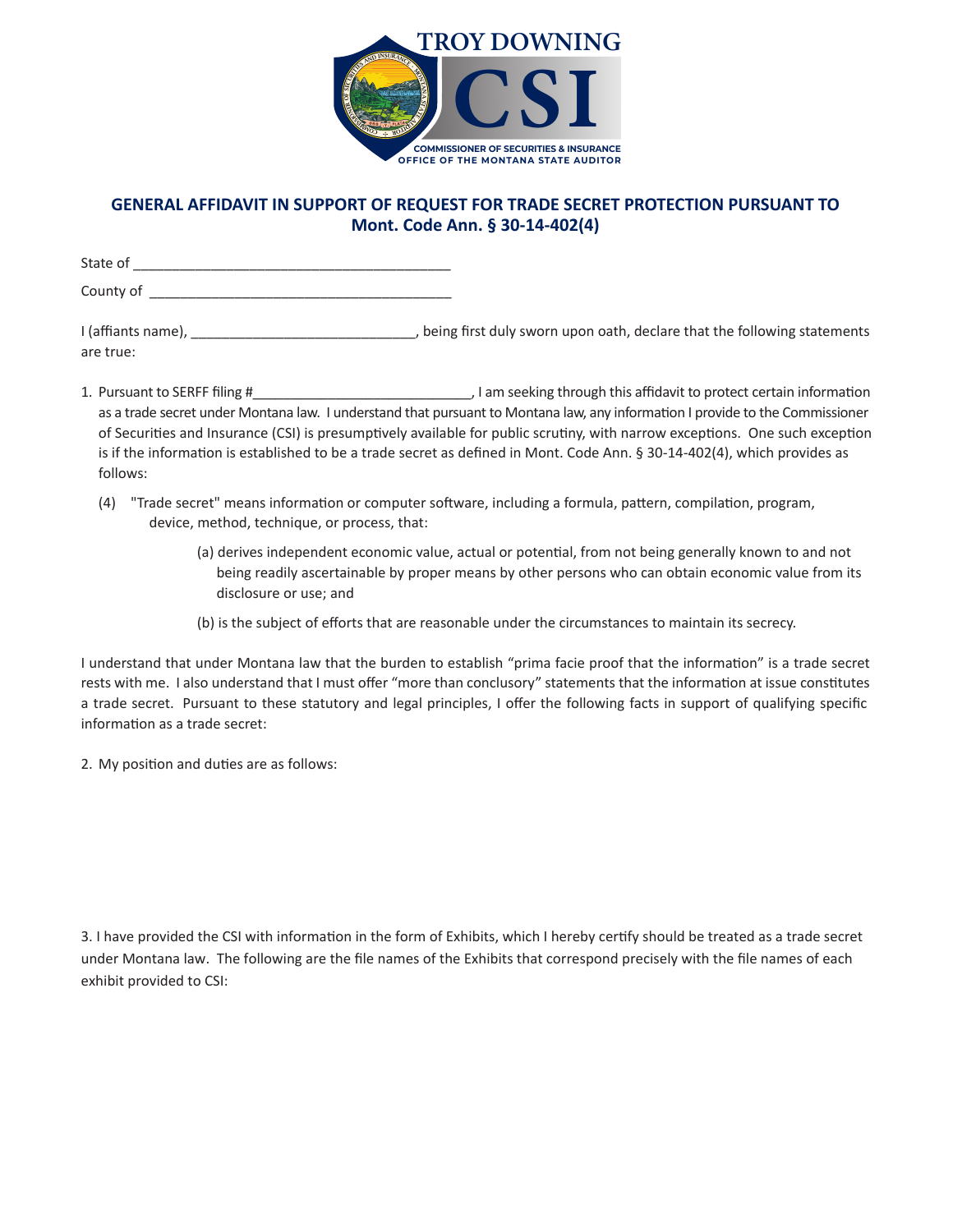

## **GENERAL AFFIDAVIT IN SUPPORT OF REQUEST FOR TRADE SECRET PROTECTION PURSUANT TO Mont. Code Ann. § 30-14-402(4)**

State of \_\_\_\_\_\_\_\_\_\_\_\_\_\_\_\_\_\_\_\_\_\_\_\_\_\_\_\_\_\_\_\_\_\_\_\_\_\_\_\_\_ County of \_\_\_\_\_\_\_\_\_\_\_\_\_\_\_\_\_\_\_\_\_\_\_\_\_\_\_\_\_\_\_\_\_\_\_\_\_\_\_

I (affiants name), \_\_\_\_\_\_\_\_\_\_\_\_\_\_\_\_\_\_\_\_\_\_\_\_\_\_\_\_\_\_\_\_\_\_, being first duly sworn upon oath, declare that the following statements are true:

- 1. Pursuant to SERFF filing #\_\_\_\_\_\_\_\_\_\_\_\_\_\_\_\_\_\_\_\_\_\_\_\_\_\_\_\_\_, I am seeking through this affidavit to protect certain informa�on as a trade secret under Montana law. I understand that pursuant to Montana law, any information I provide to the Commissioner of Securities and Insurance (CSI) is presumptively available for public scrutiny, with narrow exceptions. One such exception is if the information is established to be a trade secret as defined in Mont. Code Ann. § 30-14-402(4), which provides as follows:
	- (4) "Trade secret" means information or computer software, including a formula, pattern, compilation, program, device, method, technique, or process, that:
		- (a) derives independent economic value, actual or potential, from not being generally known to and not being readily ascertainable by proper means by other persons who can obtain economic value from its disclosure or use; and
		- (b) is the subject of efforts that are reasonable under the circumstances to maintain its secrecy.

I understand that under Montana law that the burden to establish "prima facie proof that the information" is a trade secret rests with me. I also understand that I must offer "more than conclusory" statements that the information at issue constitutes a trade secret. Pursuant to these statutory and legal principles, I offer the following facts in support of qualifying specific information as a trade secret:

2. My position and duties are as follows:

3. I have provided the CSI with information in the form of Exhibits, which I hereby certify should be treated as a trade secret under Montana law. The following are the file names of the Exhibits that correspond precisely with the file names of each exhibit provided to CSI: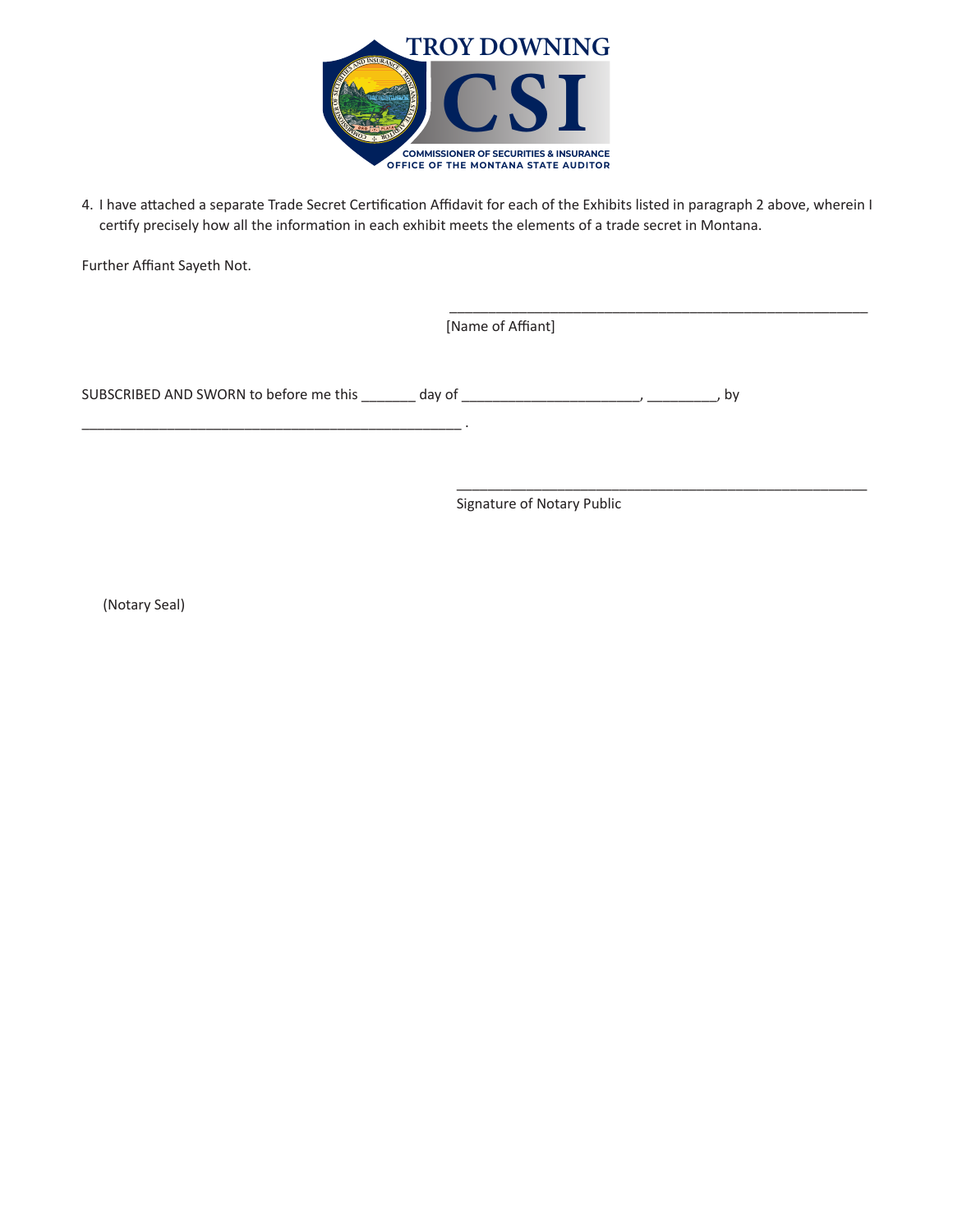

4. I have attached a separate Trade Secret Certification Affidavit for each of the Exhibits listed in paragraph 2 above, wherein I certify precisely how all the information in each exhibit meets the elements of a trade secret in Montana.

Further Affiant Sayeth Not.

\_\_\_\_\_\_\_\_\_\_\_\_\_\_\_\_\_\_\_\_\_\_\_\_\_\_\_\_\_\_\_\_\_\_\_\_\_\_\_\_\_\_\_\_\_\_\_\_\_ .

[Name of Affiant]

SUBSCRIBED AND SWORN to before me this \_\_\_\_\_\_\_ day of \_\_\_\_\_\_\_\_\_\_\_\_\_\_\_\_\_\_\_\_\_\_\_\_\_, \_\_\_\_\_\_\_\_, by

Signature of Notary Public

\_\_\_\_\_\_\_\_\_\_\_\_\_\_\_\_\_\_\_\_\_\_\_\_\_\_\_\_\_\_\_\_\_\_\_\_\_\_\_\_\_\_\_\_\_\_\_\_\_\_\_\_\_\_

\_\_\_\_\_\_\_\_\_\_\_\_\_\_\_\_\_\_\_\_\_\_\_\_\_\_\_\_\_\_\_\_\_\_\_\_\_\_\_\_\_\_\_\_\_\_\_\_\_\_\_\_\_

(Notary Seal)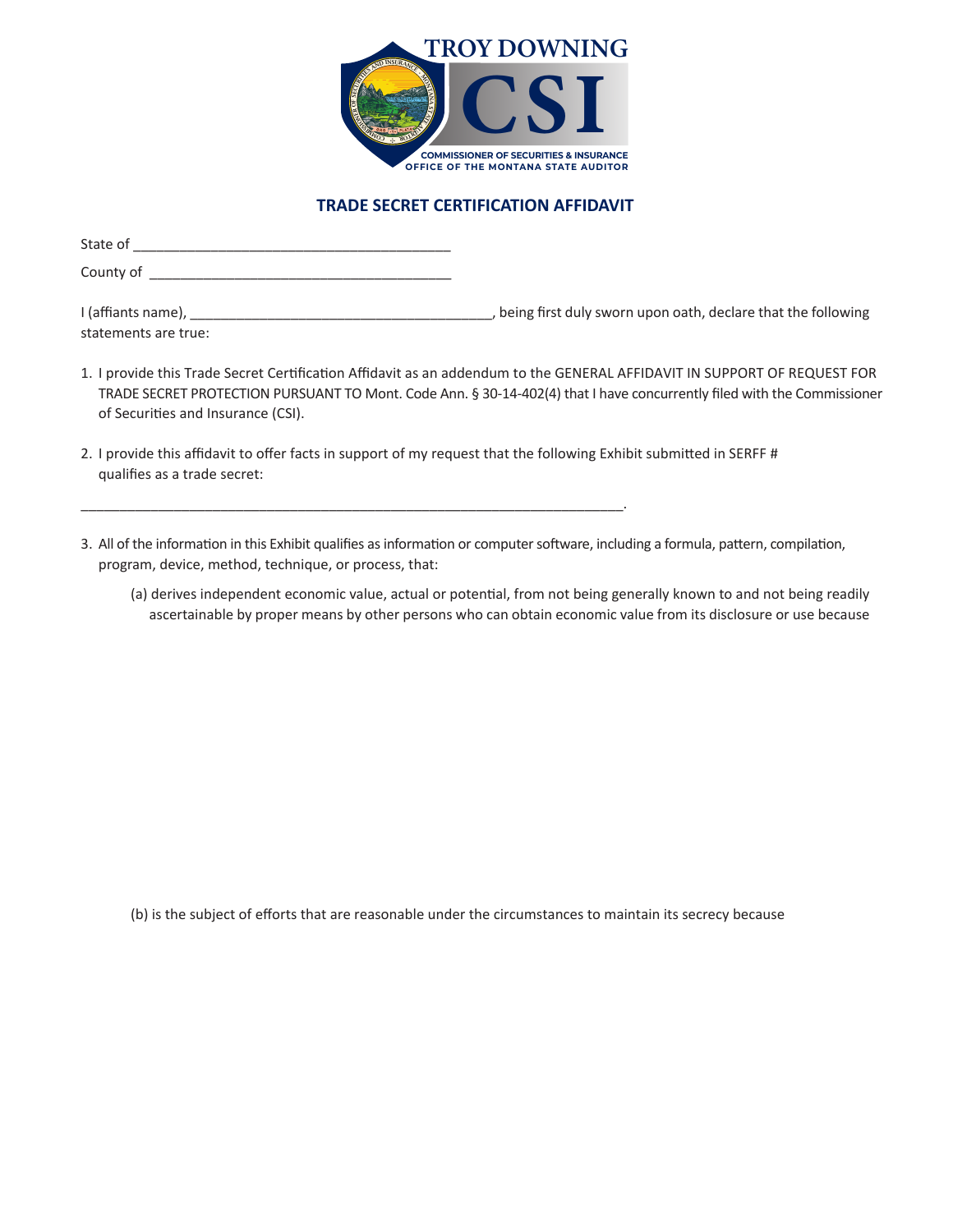

## **TRADE SECRET CERTIFICATION AFFIDAVIT**

| State of                                   |                                                                |
|--------------------------------------------|----------------------------------------------------------------|
| County of                                  |                                                                |
| I (affiants name),<br>statements are true: | , being first duly sworn upon oath, declare that the following |

- 1. I provide this Trade Secret Certification Affidavit as an addendum to the GENERAL AFFIDAVIT IN SUPPORT OF REQUEST FOR TRADE SECRET PROTECTION PURSUANT TO Mont. Code Ann. § 30-14-402(4) that I have concurrently filed with the Commissioner of Securities and Insurance (CSI).
- 2. I provide this affidavit to offer facts in support of my request that the following Exhibit submitted in SERFF # qualifies as a trade secret:

\_\_\_\_\_\_\_\_\_\_\_\_\_\_\_\_\_\_\_\_\_\_\_\_\_\_\_\_\_\_\_\_\_\_\_\_\_\_\_\_\_\_\_\_\_\_\_\_\_\_\_\_\_\_\_\_\_\_\_\_\_\_\_\_\_\_\_\_\_\_.

- 3. All of the information in this Exhibit qualifies as information or computer software, including a formula, pattern, compilation, program, device, method, technique, or process, that:
	- (a) derives independent economic value, actual or potential, from not being generally known to and not being readily ascertainable by proper means by other persons who can obtain economic value from its disclosure or use because

(b) is the subject of efforts that are reasonable under the circumstances to maintain its secrecy because